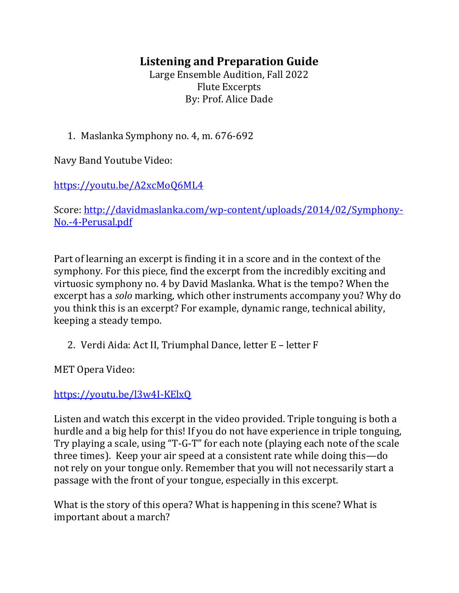## **Listening and Preparation Guide**

Large Ensemble Audition, Fall 2022 Flute Excerpts By: Prof. Alice Dade

1. Maslanka Symphony no. 4, m. 676-692

Navy Band Youtube Video:

<https://youtu.be/A2xcMoQ6ML4>

Score: [http://davidmaslanka.com/wp-content/uploads/2014/02/Symphony-](http://davidmaslanka.com/wp-content/uploads/2014/02/Symphony-No.-4-Perusal.pdf)[No.-4-Perusal.pdf](http://davidmaslanka.com/wp-content/uploads/2014/02/Symphony-No.-4-Perusal.pdf)

Part of learning an excerpt is finding it in a score and in the context of the symphony. For this piece, find the excerpt from the incredibly exciting and virtuosic symphony no. 4 by David Maslanka. What is the tempo? When the excerpt has a *solo* marking, which other instruments accompany you? Why do you think this is an excerpt? For example, dynamic range, technical ability, keeping a steady tempo.

2. Verdi Aida: Act II, Triumphal Dance, letter E – letter F

MET Opera Video:

<https://youtu.be/l3w4I-KElxQ>

Listen and watch this excerpt in the video provided. Triple tonguing is both a hurdle and a big help for this! If you do not have experience in triple tonguing, Try playing a scale, using "T-G-T" for each note (playing each note of the scale three times). Keep your air speed at a consistent rate while doing this—do not rely on your tongue only. Remember that you will not necessarily start a passage with the front of your tongue, especially in this excerpt.

What is the story of this opera? What is happening in this scene? What is important about a march?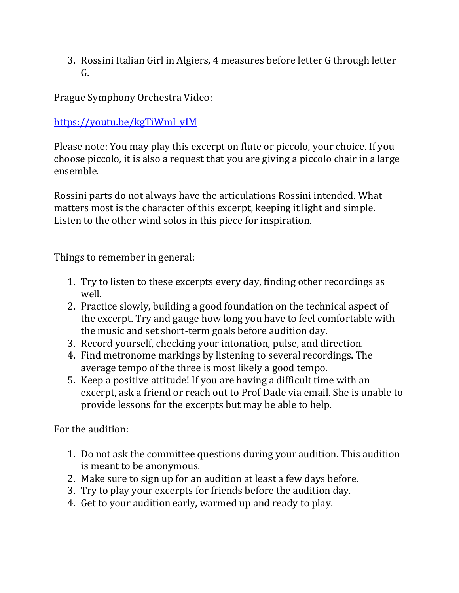3. Rossini Italian Girl in Algiers, 4 measures before letter G through letter G.

Prague Symphony Orchestra Video:

[https://youtu.be/kgTiWmI\\_yIM](https://youtu.be/kgTiWmI_yIM)

Please note: You may play this excerpt on flute or piccolo, your choice. If you choose piccolo, it is also a request that you are giving a piccolo chair in a large ensemble.

Rossini parts do not always have the articulations Rossini intended. What matters most is the character of this excerpt, keeping it light and simple. Listen to the other wind solos in this piece for inspiration.

Things to remember in general:

- 1. Try to listen to these excerpts every day, finding other recordings as well.
- 2. Practice slowly, building a good foundation on the technical aspect of the excerpt. Try and gauge how long you have to feel comfortable with the music and set short-term goals before audition day.
- 3. Record yourself, checking your intonation, pulse, and direction.
- 4. Find metronome markings by listening to several recordings. The average tempo of the three is most likely a good tempo.
- 5. Keep a positive attitude! If you are having a difficult time with an excerpt, ask a friend or reach out to Prof Dade via email. She is unable to provide lessons for the excerpts but may be able to help.

For the audition:

- 1. Do not ask the committee questions during your audition. This audition is meant to be anonymous.
- 2. Make sure to sign up for an audition at least a few days before.
- 3. Try to play your excerpts for friends before the audition day.
- 4. Get to your audition early, warmed up and ready to play.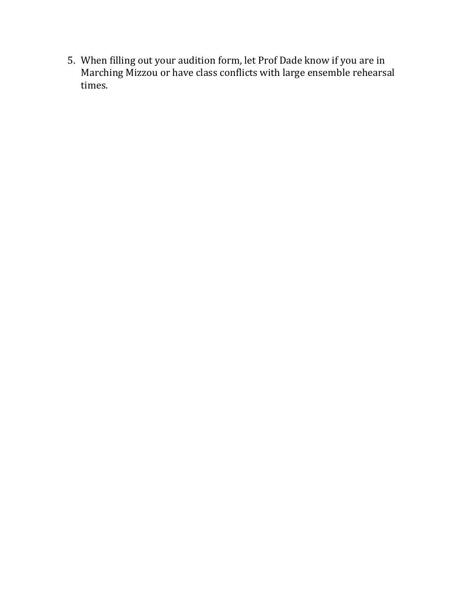5. When filling out your audition form, let Prof Dade know if you are in Marching Mizzou or have class conflicts with large ensemble rehearsal times.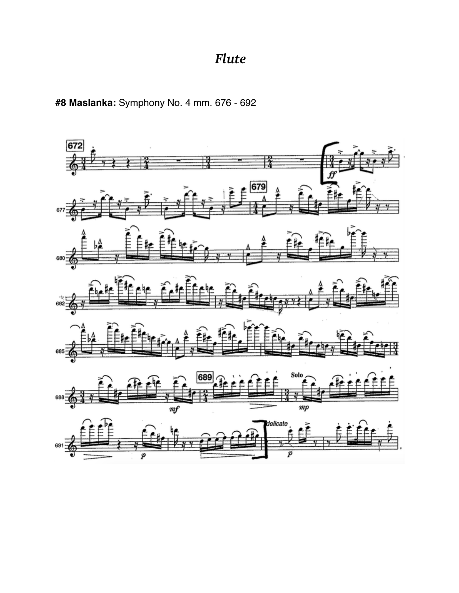## *Flute*

**#8 Maslanka:** Symphony No. 4 mm. 676 - 692

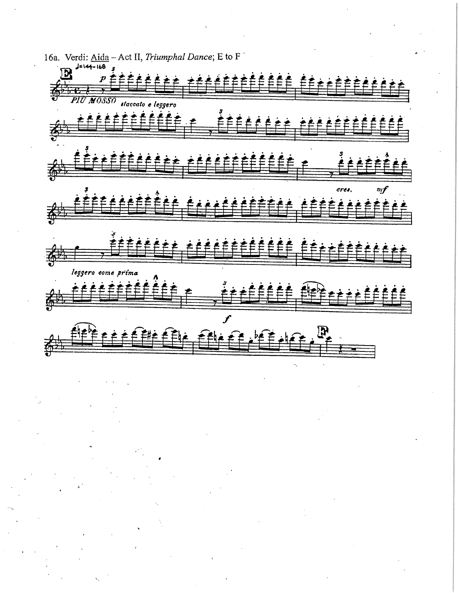